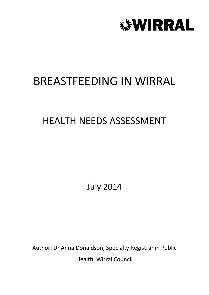

# BREASTFEEDING IN WIRRAL

# HEALTH NEEDS ASSESSMENT

July 2014

Author: Dr Anna Donaldson, Specialty Registrar in Public Health, Wirral Council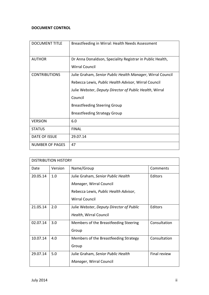# **DOCUMENT CONTROL**

| <b>DOCUMENT TITLE</b> | Breastfeeding in Wirral: Health Needs Assessment           |
|-----------------------|------------------------------------------------------------|
| <b>AUTHOR</b>         | Dr Anna Donaldson, Speciality Registrar in Public Health,  |
|                       | <b>Wirral Council</b>                                      |
| <b>CONTRIBUTIONS</b>  | Julie Graham, Senior Public Health Manager, Wirral Council |
|                       | Rebecca Lewis, Public Health Advisor, Wirral Council       |
|                       | Julie Webster, Deputy Director of Public Health, Wirral    |
|                       | Council                                                    |
|                       | <b>Breastfeeding Steering Group</b>                        |
|                       | <b>Breastfeeding Strategy Group</b>                        |
| <b>VERSION</b>        | 6.0                                                        |
| <b>STATUS</b>         | <b>FINAL</b>                                               |
| DATE OF ISSUE         | 29.07.14                                                   |
| NUMBER OF PAGES       | 47                                                         |

| <b>DISTRIBUTION HISTORY</b> |         |                                                                                                                                 |              |  |
|-----------------------------|---------|---------------------------------------------------------------------------------------------------------------------------------|--------------|--|
| Date                        | Version | Name/Group                                                                                                                      | Comments     |  |
| 20.05.14                    | 1.0     | Julie Graham, Senior Public Health<br>Manager, Wirral Council<br>Rebecca Lewis, Public Health Advisor,<br><b>Wirral Council</b> | Editors      |  |
| 21.05.14                    | 2.0     | Julie Webster, Deputy Director of Public<br>Health, Wirral Council                                                              | Editors      |  |
| 02.07.14                    | 3.0     | Members of the Breastfeeding Steering<br>Group                                                                                  | Consultation |  |
| 10.07.14                    | 4.0     | Members of the Breastfeeding Strategy<br>Group                                                                                  | Consultation |  |
| 29.07.14                    | 5.0     | Julie Graham, Senior Public Health<br>Manager, Wirral Council                                                                   | Final review |  |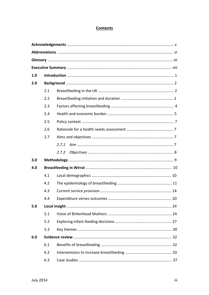# **Contents**

| 1.0 |     |       |  |  |  |  |
|-----|-----|-------|--|--|--|--|
| 2.0 |     |       |  |  |  |  |
|     | 2.1 |       |  |  |  |  |
|     | 2.2 |       |  |  |  |  |
|     | 2.3 |       |  |  |  |  |
|     | 2.4 |       |  |  |  |  |
|     | 2.5 |       |  |  |  |  |
|     | 2.6 |       |  |  |  |  |
|     | 2.7 |       |  |  |  |  |
|     |     | 2.7.1 |  |  |  |  |
|     |     | 2.7.2 |  |  |  |  |
| 3.0 |     |       |  |  |  |  |
| 4.0 |     |       |  |  |  |  |
|     | 4.1 |       |  |  |  |  |
|     | 4.2 |       |  |  |  |  |
|     | 4.3 |       |  |  |  |  |
|     | 4.4 |       |  |  |  |  |
| 5.0 |     |       |  |  |  |  |
|     | 5.1 |       |  |  |  |  |
|     | 5.2 |       |  |  |  |  |
|     | 5.3 |       |  |  |  |  |
| 6.0 |     |       |  |  |  |  |
|     | 6.1 |       |  |  |  |  |
|     | 6.2 |       |  |  |  |  |
|     | 6.3 |       |  |  |  |  |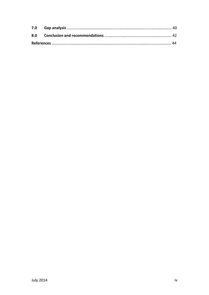| 8.0 |  |
|-----|--|
|     |  |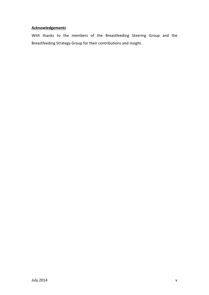# **Acknowledgements**

With thanks to the members of the Breastfeeding Steering Group and the Breastfeeding Strategy Group for their contributions and insight.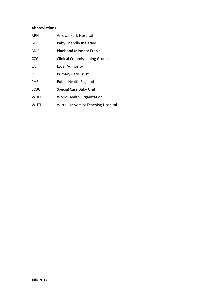# **Abbreviations**

| APH        | <b>Arrowe Park Hospital</b>                |
|------------|--------------------------------------------|
| BFI        | <b>Baby Friendly Initiative</b>            |
| BME        | <b>Black and Minority Ethnic</b>           |
| CCG        | <b>Clinical Commissioning Group</b>        |
| LA         | Local Authority                            |
| <b>PCT</b> | <b>Primary Care Trust</b>                  |
| <b>PHE</b> | <b>Public Health England</b>               |
| SCBU       | Special Care Baby Unit                     |
| WHO        | World Health Organization                  |
| WUTH       | <b>Wirral University Teaching Hospital</b> |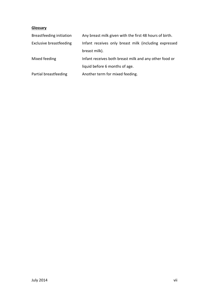# **Glossary**

| Breastfeeding initiation | Any breast milk given with the first 48 hours of birth. |
|--------------------------|---------------------------------------------------------|
| Exclusive breastfeeding  | Infant receives only breast milk (including expressed   |
|                          | breast milk).                                           |
| Mixed feeding            | Infant receives both breast milk and any other food or  |
|                          | liquid before 6 months of age.                          |
| Partial breastfeeding    | Another term for mixed feeding.                         |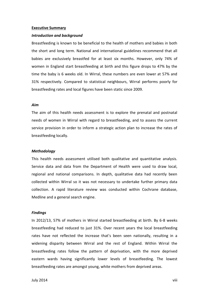#### **Executive Summary**

#### *Introduction and background*

Breastfeeding is known to be beneficial to the health of mothers and babies in both the short and long term. National and international guidelines recommend that all babies are exclusively breastfed for at least six months. However, only 74% of women in England start breastfeeding at birth and this figure drops to 47% by the time the baby is 6 weeks old. In Wirral, these numbers are even lower at 57% and 31% respectively. Compared to statistical neighbours, Wirral performs poorly for breastfeeding rates and local figures have been static since 2009.

#### *Aim*

The aim of this health needs assessment is to explore the prenatal and postnatal needs of women in Wirral with regard to breastfeeding, and to assess the current service provision in order to inform a strategic action plan to increase the rates of breastfeeding locally.

#### *Methodology*

This health needs assessment utilised both qualitative and quantitative analysis. Service data and data from the Department of Health were used to draw local, regional and national comparisons. In depth, qualitative data had recently been collected within Wirral so it was not necessary to undertake further primary data collection. A rapid literature review was conducted within Cochrane database, Medline and a general search engine.

#### *Findings*

In 2012/13, 57% of mothers in Wirral started breastfeeding at birth. By 6-8 weeks breastfeeding had reduced to just 31%. Over recent years the local breastfeeding rates have not reflected the increase that's been seen nationally, resulting in a widening disparity between Wirral and the rest of England. Within Wirral the breastfeeding rates follow the pattern of deprivation, with the more deprived eastern wards having significantly lower levels of breastfeeding. The lowest breastfeeding rates are amongst young, white mothers from deprived areas.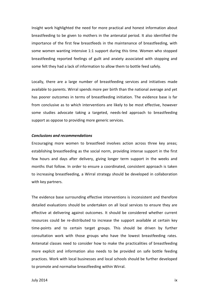Insight work highlighted the need for more practical and honest information about breastfeeding to be given to mothers in the antenatal period. It also identified the importance of the first few breastfeeds in the maintenance of breastfeeding, with some women wanting intensive 1:1 support during this time. Women who stopped breastfeeding reported feelings of guilt and anxiety associated with stopping and some felt they had a lack of information to allow them to bottle feed safely.

Locally, there are a large number of breastfeeding services and initiatives made available to parents. Wirral spends more per birth than the national average and yet has poorer outcomes in terms of breastfeeding initiation. The evidence base is far from conclusive as to which interventions are likely to be most effective, however some studies advocate taking a targeted, needs-led approach to breastfeeding support as oppose to providing more generic services.

#### *Conclusions and recommendations*

Encouraging more women to breastfeed involves action across three key areas; establishing breastfeeding as the social norm, providing intense support in the first few hours and days after delivery, giving longer term support in the weeks and months that follow. In order to ensure a coordinated, consistent approach is taken to increasing breastfeeding, a Wirral strategy should be developed in collaboration with key partners.

The evidence base surrounding effective interventions is inconsistent and therefore detailed evaluations should be undertaken on all local services to ensure they are effective at delivering against outcomes. It should be considered whether current resources could be re-distributed to increase the support available at certain key time-points and to certain target groups. This should be driven by further consultation work with those groups who have the lowest breastfeeding rates. Antenatal classes need to consider how to make the practicalities of breastfeeding more explicit and information also needs to be provided on safe bottle feeding practices. Work with local businesses and local schools should be further developed to promote and normalise breastfeeding within Wirral.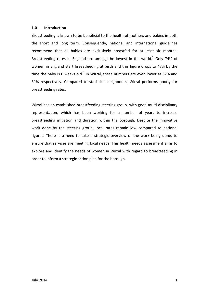## **1.0 Introduction**

Breastfeeding is known to be beneficial to the health of mothers and babies in both the short and long term. Consequently, national and international guidelines recommend that all babies are exclusively breastfed for at least six months. Breastfeeding rates in England are among the lowest in the world.<sup>1</sup> Only 74% of women in England start breastfeeding at birth and this figure drops to 47% by the time the baby is 6 weeks old.<sup>2</sup> In Wirral, these numbers are even lower at 57% and 31% respectively. Compared to statistical neighbours, Wirral performs poorly for breastfeeding rates.

Wirral has an established breastfeeding steering group, with good multi-disciplinary representation, which has been working for a number of years to increase breastfeeding initiation and duration within the borough. Despite the innovative work done by the steering group, local rates remain low compared to national figures. There is a need to take a strategic overview of the work being done, to ensure that services are meeting local needs. This health needs assessment aims to explore and identify the needs of women in Wirral with regard to breastfeeding in order to inform a strategic action plan for the borough.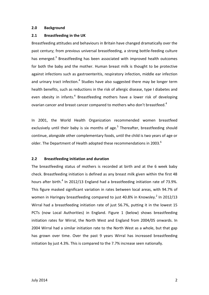### **2.0 Background**

## **2.1 Breastfeeding in the UK**

Breastfeeding attitudes and behaviours in Britain have changed dramatically over the past century; from previous universal breastfeeding, a strong bottle-feeding culture has emerged.<sup>3</sup> Breastfeeding has been associated with improved health outcomes for both the baby and the mother. Human breast milk is thought to be protective against infections such as gastroenteritis, respiratory infection, middle ear infection and urinary tract infection.<sup>4</sup> Studies have also suggested there may be longer term health benefits, such as reductions in the risk of allergic disease, type I diabetes and even obesity in infants.<sup>4</sup> Breastfeeding mothers have a lower risk of developing ovarian cancer and breast cancer compared to mothers who don't breastfeed.<sup>4</sup>

In 2001, the World Health Organization recommended women breastfeed exclusively until their baby is six months of age.<sup>5</sup> Thereafter, breastfeeding should continue, alongside other complementary foods, until the child is two years of age or older. The Department of Health adopted these recommendations in 2003. $^6$ 

## **2.2 Breastfeeding initiation and duration**

The breastfeeding status of mothers is recorded at birth and at the 6 week baby check. Breastfeeding initiation is defined as any breast milk given within the first 48 hours after birth. $4$  In 2012/13 England had a breastfeeding initiation rate of 73.9%. This figure masked significant variation in rates between local areas, with 94.7% of women in Haringey breastfeeding compared to just 40.8% in Knowsley. $^2$  In 2012/13 Wirral had a breastfeeding initiation rate of just 56.7%, putting it in the lowest 15 PCTs (now Local Authorities) in England. Figure 1 (below) shows breastfeeding initiation rates for Wirral, the North West and England from 2004/05 onwards. In 2004 Wirral had a similar initiation rate to the North West as a whole, but that gap has grown over time. Over the past 9 years Wirral has increased breastfeeding initiation by just 4.3%. This is compared to the 7.7% increase seen nationally.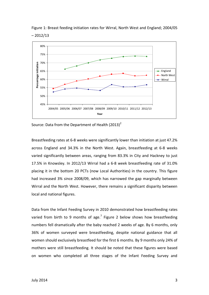

Figure 1: Breast feeding initiation rates for Wirral, North West and England; 2004/05 – 2012/13

Source: Data from the Department of Health  $(2013)^2$ 

Breastfeeding rates at 6-8 weeks were significantly lower than initiation at just 47.2% across England and 34.3% in the North West. Again, breastfeeding at 6-8 weeks varied significantly between areas, ranging from 83.3% in City and Hackney to just 17.5% in Knowsley. In 2012/13 Wirral had a 6-8 week breastfeeding rate of 31.0% placing it in the bottom 20 PCTs (now Local Authorities) in the country. This figure had increased 3% since 2008/09, which has narrowed the gap marginally between Wirral and the North West. However, there remains a significant disparity between local and national figures.

Data from the Infant Feeding Survey in 2010 demonstrated how breastfeeding rates varied from birth to 9 months of age.<sup>7</sup> Figure 2 below shows how breastfeeding numbers fell dramatically after the baby reached 2 weeks of age. By 6 months, only 36% of women surveyed were breastfeeding, despite national guidance that all women should exclusively breastfeed for the first 6 months. By 9 months only 24% of mothers were still breastfeeding. It should be noted that these figures were based on women who completed all three stages of the Infant Feeding Survey and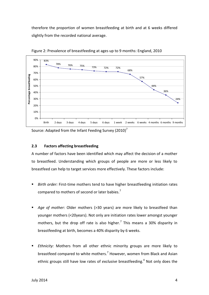therefore the proportion of women breastfeeding at birth and at 6 weeks differed slightly from the recorded national average.



Figure 2: Prevalence of breastfeeding at ages up to 9 months: England, 2010

Source: Adapted from the Infant Feeding Survey (2010)<sup>7</sup>

# **2.3 Factors affecting breastfeeding**

A number of factors have been identified which may affect the decision of a mother to breastfeed. Understanding which groups of people are more or less likely to breastfeed can help to target services more effectively. These factors include:

- *Birth order:* First-time mothers tend to have higher breastfeeding initiation rates compared to mothers of second or later babies.<sup>7</sup>
- *Age of mother:* Older mothers (>30 years) are more likely to breastfeed than younger mothers (<20years). Not only are initiation rates lower amongst younger mothers, but the drop off rate is also higher.<sup>7</sup> This means a 30% disparity in breastfeeding at birth, becomes a 40% disparity by 6 weeks.
- *Ethnicity:* Mothers from all other ethnic minority groups are more likely to breastfeed compared to white mothers.<sup>7</sup> However, women from Black and Asian ethnic groups still have low rates of *exclusive* breastfeeding.<sup>4</sup> Not only does the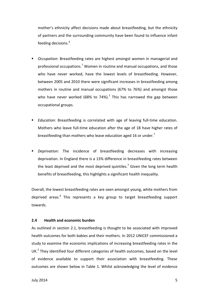mother's ethnicity affect decisions made about breastfeeding, but the ethnicity of partners and the surrounding community have been found to influence infant feeding decisions.<sup>4</sup>

- *Occupation:* Breastfeeding rates are highest amongst women in managerial and professional occupations.<sup>7</sup> Women in routine and manual occupations, and those who have never worked, have the lowest levels of breastfeeding. However, between 2005 and 2010 there were significant increases in breastfeeding among mothers in routine and manual occupations (67% to 76%) and amongst those who have never worked (68% to 74%).<sup>7</sup> This has narrowed the gap between occupational groups.
- *Education:* Breastfeeding is correlated with age of leaving full-time education. Mothers who leave full-time education after the age of 18 have higher rates of breastfeeding than mothers who leave education aged 16 or under.<sup>7</sup>
- *Deprivation:* The incidence of breastfeeding decreases with increasing deprivation. In England there is a 13% difference in breastfeeding rates between the least deprived and the most deprived quintiles.<sup>7</sup> Given the long term health benefits of breastfeeding, this highlights a significant health inequality.

Overall, the lowest breastfeeding rates are seen amongst young, white mothers from deprived areas.<sup>4</sup> This represents a key group to target breastfeeding support towards.

#### **2.4 Health and economic burden**

As outlined in section 2.1, breastfeeding is thought to be associated with improved health outcomes for both babies and their mothers. In 2012 UNICEF commissioned a study to examine the economic implications of increasing breastfeeding rates in the UK.<sup>3</sup> They identified four different categories of health outcomes, based on the level of evidence available to support their association with breastfeeding. These outcomes are shown below in Table 1. Whilst acknowledging the level of evidence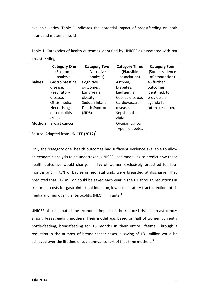available varies, Table 1 indicates the potential impact of breastfeeding on both infant and maternal health.

Table 1: Categories of health outcomes identified by UNICEF as associated with *not* breastfeeding

|                | <b>Category One</b> | <b>Category Two</b> | <b>Category Three</b> | <b>Category Four</b> |  |
|----------------|---------------------|---------------------|-----------------------|----------------------|--|
|                | (Economic           | (Narrative          | (Plausible            | (Some evidence       |  |
|                | analysis)           | analysis)           | association)          | of association)      |  |
| <b>Babies</b>  | Gastrointestinal    | Cognitive           | Asthma,               | 45 further           |  |
|                | disease,            | outcomes,           | Diabetes,             | outcomes             |  |
|                | Respiratory         | Early years         | Leukaemia,            | identified, to       |  |
|                | disease,            | obesity,            | Coeliac disease,      | provide an           |  |
|                | Otitis media,       | Sudden Infant       | Cardiovascular        | agenda for           |  |
|                | Necrotising         | Death Syndrome      | disease,              | future research.     |  |
|                | enterocolitis       | (SIDS)              | Sepsis in the         |                      |  |
|                | (NEC)               |                     | child                 |                      |  |
| <b>Mothers</b> | Breast cancer       |                     | Ovarian cancer        |                      |  |
|                |                     |                     | Type II diabetes      |                      |  |

Source: Adapted from UNICEF  $(2012)^3$ 

Only the 'category one' health outcomes had sufficient evidence available to allow an economic analysis to be undertaken. UNICEF used modelling to predict how these health outcomes would change if 45% of women exclusively breastfed for four months and if 75% of babies in neonatal units were breastfed at discharge. They predicted that £17 million could be saved each year in the UK through reductions in treatment costs for gastrointestinal infection, lower respiratory tract infection, otitis media and necrotising enterocolitis (NEC) in infants.<sup>3</sup>

UNICEF also estimated the economic impact of the reduced risk of breast cancer among breastfeeding mothers. Their model was based on half of women currently bottle-feeding, breastfeeding for 18 months in their entire lifetime. Through a reduction in the number of breast cancer cases, a saving of £31 million could be achieved over the lifetime of each annual cohort of first-time mothers.<sup>3</sup>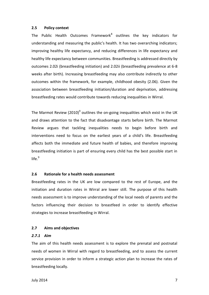#### **2.5 Policy context**

The Public Health Outcomes Framework<sup>8</sup> outlines the key indicators for understanding and measuring the public's health. It has two overarching indicators; improving healthy life expectancy, and reducing differences in life expectancy and healthy life expectancy between communities. Breastfeeding is addressed directly by outcomes 2.02i (breastfeeding initiation) and 2.02ii (breastfeeding prevalence at 6-8 weeks after birth). Increasing breastfeeding may also contribute indirectly to other outcomes within the framework, for example, childhood obesity (2.06). Given the association between breastfeeding initiation/duration and deprivation, addressing breastfeeding rates would contribute towards reducing inequalities in Wirral.

The Marmot Review (2010)<sup>9</sup> outlines the on-going inequalities which exist in the UK and draws attention to the fact that disadvantage starts before birth. The Marmot Review argues that tackling inequalities needs to begin before birth and interventions need to focus on the earliest years of a child's life. Breastfeeding affects both the immediate and future health of babies, and therefore improving breastfeeding initiation is part of ensuring every child has the best possible start in life. $9$ 

#### **2.6 Rationale for a health needs assessment**

Breastfeeding rates in the UK are low compared to the rest of Europe, and the initiation and duration rates in Wirral are lower still. The purpose of this health needs assessment is to improve understanding of the local needs of parents and the factors influencing their decision to breastfeed in order to identify effective strategies to increase breastfeeding in Wirral.

#### **2.7 Aims and objectives**

## *2.7.1 Aim*

The aim of this health needs assessment is to explore the prenatal and postnatal needs of women in Wirral with regard to breastfeeding, and to assess the current service provision in order to inform a strategic action plan to increase the rates of breastfeeding locally.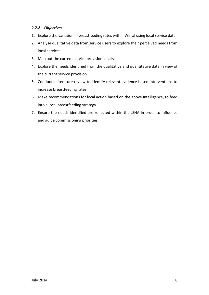# *2.7.2 Objectives*

- 1. Explore the variation in breastfeeding rates within Wirral using local service data.
- 2. Analyse qualitative data from service users to explore their perceived needs from local services.
- 3. Map out the current service provision locally.
- 4. Explore the needs identified from the qualitative and quantitative data in view of the current service provision.
- 5. Conduct a literature review to identify relevant evidence based interventions to increase breastfeeding rates.
- 6. Make recommendations for local action based on the above intelligence, to feed into a local breastfeeding strategy.
- 7. Ensure the needs identified are reflected within the JSNA in order to influence and guide commissioning priorities.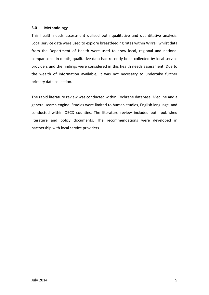# **3.0 Methodology**

This health needs assessment utilised both qualitative and quantitative analysis. Local service data were used to explore breastfeeding rates within Wirral, whilst data from the Department of Health were used to draw local, regional and national comparisons. In depth, qualitative data had recently been collected by local service providers and the findings were considered in this health needs assessment. Due to the wealth of information available, it was not necessary to undertake further primary data collection.

The rapid literature review was conducted within Cochrane database, Medline and a general search engine. Studies were limited to human studies, English language, and conducted within OECD counties. The literature review included both published literature and policy documents. The recommendations were developed in partnership with local service providers.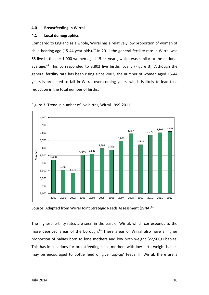# **4.0 Breastfeeding in Wirral**

# **4.1 Local demographics**

Compared to England as a whole, Wirral has a relatively low proportion of women of child-bearing age (15-44 year olds). $^{10}$  In 2011 the general fertility rate in Wirral was 65 live births per 1,000 women aged 15-44 years, which was similar to the national average.<sup>11</sup> This corresponded to 3,802 live births locally (Figure 3). Although the general fertility rate has been rising since 2002, the number of women aged 15-44 years is predicted to fall in Wirral over coming years, which is likely to lead to a reduction in the total number of births.





Source: Adapted from Wirral Joint Strategic Needs Assessment (JSNA)<sup>11</sup>

The highest fertility rates are seen in the east of Wirral, which corresponds to the more deprived areas of the borough.<sup>11</sup> These areas of Wirral also have a higher proportion of babies born to lone mothers and low birth weight (<2,500g) babies. This has implications for breastfeeding since mothers with low birth weight babies may be encouraged to bottle feed or give 'top-up' feeds. In Wirral, there are a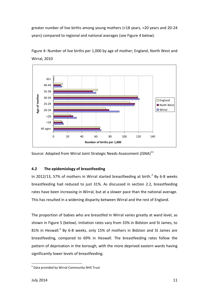greater number of live births among young mothers (<18 years, <20 years and 20-24 years) compared to regional and national averages (see Figure 4 below).

Figure 4: Number of live births per 1,000 by age of mother; England, North West and Wirral, 2010



Source: Adapted from Wirral Joint Strategic Needs Assessment (JSNA)<sup>11</sup>

# **4.2 The epidemiology of breastfeeding**

In 2012/13, 57% of mothers in Wirral started breastfeeding at birth. $^2$  By 6-8 weeks breastfeeding had reduced to just 31%. As discussed in section 2.2, breastfeeding rates have been increasing in Wirral, but at a slower pace than the national average. This has resulted in a widening disparity between Wirral and the rest of England.

The proportion of babies who are breastfed in Wirral varies greatly at ward level, as shown in Figure 5 (below). Initiation rates vary from 33% in Bidston and St James, to 81% in Heswall.<sup>a</sup> By 6-8 weeks, only 15% of mothers in Bidston and St James are breastfeeding, compared to 69% in Heswall. The breastfeeding rates follow the pattern of deprivation in the borough, with the more deprived eastern wards having significantly lower levels of breastfeeding.

 $\overline{a}$ 

<sup>&</sup>lt;sup>a</sup> Data provided by Wirral Community NHS Trust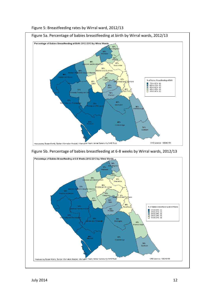

Figure 5: Breastfeeding rates by Wirral ward, 2012/13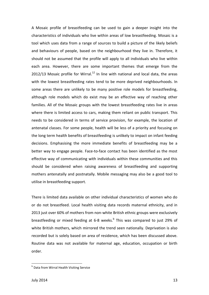A Mosaic profile of breastfeeding can be used to gain a deeper insight into the characteristics of individuals who live within areas of low breastfeeding. Mosaic is a tool which uses data from a range of sources to build a picture of the likely beliefs and behaviours of people, based on the neighbourhood they live in. Therefore, it should not be assumed that the profile will apply to all individuals who live within each area. However, there are some important themes that emerge from the  $2012/13$  Mosaic profile for Wirral.<sup>12</sup> In line with national and local data, the areas with the lowest breastfeeding rates tend to be more deprived neighbourhoods. In some areas there are unlikely to be many positive role models for breastfeeding, although role models which do exist may be an effective way of reaching other families. All of the Mosaic groups with the lowest breastfeeding rates live in areas where there is limited access to cars, making them reliant on public transport. This needs to be considered in terms of service provision, for example, the location of antenatal classes. For some people, health will be less of a priority and focusing on the long term health benefits of breastfeeding is unlikely to impact on infant feeding decisions. Emphasising the more immediate benefits of breastfeeding may be a better way to engage people. Face-to-face contact has been identified as the most effective way of communicating with individuals within these communities and this should be considered when raising awareness of breastfeeding and supporting mothers antenatally and postnatally. Mobile messaging may also be a good tool to utilise in breastfeeding support.

There is limited data available on other individual characteristics of women who do or do not breastfeed. Local health visiting data records maternal ethnicity, and in 2013 just over 60% of mothers from non-white British ethnic groups were exclusively breastfeeding or mixed feeding at 6-8 weeks.<sup>b</sup> This was compared to just 29% of white British mothers, which mirrored the trend seen nationally. Deprivation is also recorded but is solely based on area of residence, which has been discussed above. Routine data was not available for maternal age, education, occupation or birth order.

 $\overline{a}$ 

**b** Data from Wirral Health Visiting Service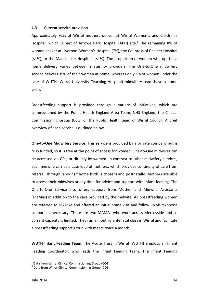#### **4.3 Current service provision**

Approximately 92% of Wirral mothers deliver at Wirral Women's and Children's Hospital, which is part of Arrowe Park Hospital (APH) site.<sup>c</sup> The remaining 8% of women deliver at Liverpool Women's Hospital (7%), the Countess of Chester Hospital (<1%), or the Manchester Hospitals (<1%). The proportion of women who opt for a home delivery varies between maternity providers; the One-to-One midwifery service delivers 35% of their women at home, whereas only 1% of women under the care of WUTH (Wirral University Teaching Hospital) midwifery team have a home birth. d

Breastfeeding support is provided through a variety of initiatives, which are commissioned by the Public Health England Area Team, NHS England, the Clinical Commissioning Group (CCG) or the Public Health team of Wirral Council. A brief overview of each service is outlined below.

**One-to-One Midwifery Service:** This service is provided by a private company but is NHS funded, so it is free at the point of access for women. One-to-One midwives can be accessed via GPs, or directly by women. In contrast to other midwifery services, each midwife carries a case load of mothers, which provides continuity of care from referral, through labour (if home birth is chosen) and postnatally. Mothers are able to access their midwives at any time for advice and support with infant feeding. The One-to-One Service also offers support from Mother and Midwife Assistants (MaMas) in addition to the care provided by the midwife. All breastfeeding women are referred to MAMAs and offered an initial home visit and follow up visits/phone support as necessary. There are two MAMAs who work across Merseyside and so current capacity is limited. They run a monthly antenatal class in Wirral and facilitate a breastfeeding support group with meets twice a month.

**WUTH Infant Feeding Team:** The Acute Trust in Wirral (WUTH) employs an Infant Feeding Coordinator, who leads the Infant Feeding team. The Infant Feeding

 $\overline{a}$ 

<sup>&</sup>lt;sup>c</sup> Data from Wirral Clinical Commissioning Group (CCG)

d Data from Wirral Clinical Commissioning Group (CCG)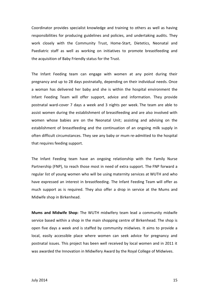Coordinator provides specialist knowledge and training to others as well as having responsibilities for producing guidelines and policies, and undertaking audits. They work closely with the Community Trust, Home-Start, Dietetics, Neonatal and Paediatric staff as well as working on initiatives to promote breastfeeding and the acquisition of Baby Friendly status for the Trust.

The Infant Feeding team can engage with women at any point during their pregnancy and up to 28 days postnatally, depending on their individual needs. Once a woman has delivered her baby and she is within the hospital environment the Infant Feeding Team will offer support, advice and information. They provide postnatal ward-cover 7 days a week and 3 nights per week. The team are able to assist women during the establishment of breastfeeding and are also involved with women whose babies are on the Neonatal Unit; assisting and advising on the establishment of breastfeeding and the continuation of an ongoing milk supply in often difficult circumstances. They see any baby or mum re-admitted to the hospital that requires feeding support.

The Infant Feeding team have an ongoing relationship with the Family Nurse Partnership (FNP), to reach those most in need of extra support. The FNP forward a regular list of young women who will be using maternity services at WUTH and who have expressed an interest in breastfeeding. The Infant Feeding Team will offer as much support as is required. They also offer a drop in service at the Mums and Midwife shop in Birkenhead.

**Mums and Midwife Shop:** The WUTH midwifery team lead a community midwife service based within a shop in the main shopping centre of Birkenhead. The shop is open five days a week and is staffed by community midwives. It aims to provide a local, easily accessible place where women can seek advice for pregnancy and postnatal issues. This project has been well received by local women and in 2011 it was awarded the Innovation in Midwifery Award by the Royal College of Midwives.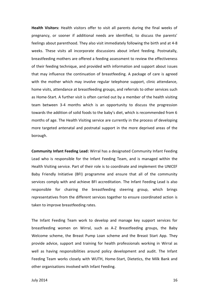**Health Visitors:** Health visitors offer to visit all parents during the final weeks of pregnancy, or sooner if additional needs are identified, to discuss the parents' feelings about parenthood. They also visit immediately following the birth and at 4-8 weeks. These visits all incorporate discussions about infant feeding. Postnatally, breastfeeding mothers are offered a feeding assessment to review the effectiveness of their feeding technique, and provided with information and support about issues that may influence the continuation of breastfeeding. A package of care is agreed with the mother which may involve regular telephone support, clinic attendance, home visits, attendance at breastfeeding groups, and referrals to other services such as Home-Start. A further visit is often carried out by a member of the health visiting team between 3-4 months which is an opportunity to discuss the progression towards the addition of solid foods to the baby's diet, which is recommended from 6 months of age. The Health Visiting service are currently in the process of developing more targeted antenatal and postnatal support in the more deprived areas of the borough.

**Community Infant Feeding Lead:** Wirral has a designated Community Infant Feeding Lead who is responsible for the Infant Feeding Team, and is managed within the Health Visiting service. Part of their role is to coordinate and implement the UNICEF Baby Friendly Initiative (BFI) programme and ensure that all of the community services comply with and achieve BFI accreditation. The Infant Feeding Lead is also responsible for chairing the breastfeeding steering group, which brings representatives from the different services together to ensure coordinated action is taken to improve breastfeeding rates.

The Infant Feeding Team work to develop and manage key support services for breastfeeding women on Wirral, such as A-Z Breastfeeding groups, the Baby Welcome scheme, the Breast Pump Loan scheme and the Breast Start App. They provide advice, support and training for health professionals working in Wirral as well as having responsibilities around policy development and audit. The Infant Feeding Team works closely with WUTH, Home-Start, Dietetics, the Milk Bank and other organisations involved with Infant Feeding.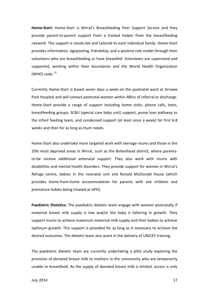**Home-Start:** Home-Start is Wirral's Breastfeeding Peer Support Service and they provide parent-to-parent support from a trained helper from the breastfeeding network. The support is needs-led and tailored to each individual family. Home-Start provides information, signposting, friendship, and a positive role model through their volunteers who are breastfeeding or have breastfed. Volunteers are supervised and supported, working within their boundaries and the World Health Organization (WHO) code. $^{13}$ 

Currently Home-Start is based seven days a week on the postnatal ward at Arrowe Park Hospital and will contact postnatal women within 48hrs of referral or discharge. Home-Start provide a range of support including home visits, phone calls, texts, breastfeeding groups, SCBU (special care baby unit) support, pump loan pathway to the infant feeding team, and condensed support (at least once a week) for first 6-8 weeks and then for as long as mum needs.

Home-Start also undertake more targeted work with teenage mums and those in the 20% most deprived areas in Wirral, such as the Birkenhead district, where parentsto-be receive additional antenatal support. They also work with mums with disabilities and mental health disorders. They provide support for women in Wirral's Refuge centre, babies in the neonatal unit and Ronald McDonald house (which provides home-from-home accommodation for parents with sick children and premature babies being treated at APH).

**Paediatric Dietetics:** The paediatric dietetic team engage with women postnatally if maternal breast milk supply is low and/or the baby is faltering in growth. They support mums to achieve maximum maternal milk supply and their babies to achieve optimum growth. This support is provided for as long as it necessary to achieve the desired outcomes. The dietetic team also assist in the delivery of UNICEF training.

The paediatric dietetic team are currently undertaking a pilot study exploring the provision of donated breast milk to mothers in the community who are temporarily unable to breastfeed. As the supply of donated breast milk is limited, access is only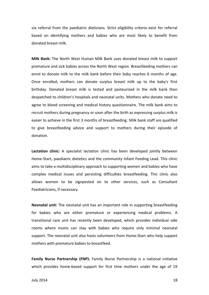via referral from the paediatric dieticians. Strict eligibility criteria exist for referral based on identifying mothers and babies who are most likely to benefit from donated breast milk.

**Milk Bank:** The North West Human Milk Bank uses donated breast milk to support premature and sick babies across the North West region. Breastfeeding mothers can enrol to donate milk to the milk bank before their baby reaches 6 months of age. Once enrolled, mothers can donate surplus breast milk up to the baby's first birthday. Donated breast milk is tested and pasteurised in the milk bank then despatched to children's hospitals and neonatal units. Mothers who donate need to agree to blood screening and medical history questionnaire. The milk bank aims to recruit mothers during pregnancy or soon after the birth as expressing surplus milk is easier to achieve in the first 3 months of breastfeeding. Milk bank staff are qualified to give breastfeeding advice and support to mothers during their episode of donation.

**Lactation clinic:** A specialist lactation clinic has been developed jointly between Home-Start, paediatric dietetics and the community Infant Feeding Lead. This clinic aims to take a multidisciplinary approach to supporting women and babies who have complex medical issues and persisting difficulties breastfeeding. This clinic also allows women to be signposted on to other services, such as Consultant Paediatricians, if necessary.

**Neonatal unit:** The neonatal unit has an important role in supporting breastfeeding for babies who are either premature or experiencing medical problems. A transitional care unit has recently been developed, which provides individual side rooms where mums can stay with babies who require only minimal neonatal support. The neonatal unit also hosts volunteers from Home-Start who help support mothers with premature babies to breastfeed.

**Family Nurse Partnership (FNP):** Family Nurse Partnership is a national initiative which provides home-based support for first time mothers under the age of 19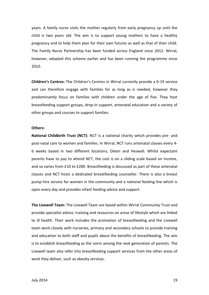years. A family nurse visits the mother regularly from early pregnancy up until the child is two years old. The aim is to support young mothers to have a healthy pregnancy and to help them plan for their own futures as well as that of their child. The Family Nurse Partnership has been funded across England since 2012. Wirral, however, adopted this scheme earlier and has been running the programme since 2010.

**Children's Centres:** The Children's Centres in Wirral currently provide a 0-19 service and can therefore engage with families for as long as is needed, however they predominantly focus on families with children under the age of five. They host breastfeeding support groups, drop-in support, antenatal education and a variety of other groups and courses to support families.

#### **Others:**

**National Childbirth Trust (NCT):** NCT is a national charity which provides pre- and post-natal care to women and families. In Wirral, NCT runs antenatal classes every 4- 6 weeks based in two different locations; Oxton and Heswall. Whilst expectant parents have to pay to attend NCT, the cost is on a sliding scale based on income, and so varies from £10 to £200. Breastfeeding is discussed as part of these antenatal classes and NCT hosts a dedicated breastfeeding counsellor. There is also a breast pump hire service for women in the community and a national feeding line which is open every day and provides infant feeding advice and support.

**The Livewell Team:** The Livewell Team are based within Wirral Community Trust and provide specialist advice, training and resources on areas of lifestyle which are linked to ill health. Their work includes the promotion of breastfeeding and the Livewell team work closely with nurseries, primary and secondary schools to provide training and education to both staff and pupils about the benefits of breastfeeding. The aim is to establish breastfeeding as the norm among the next generation of parents. The Livewell team also refer into breastfeeding support services from the other areas of work they deliver, such as obesity services.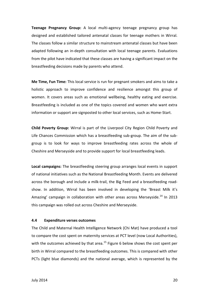**Teenage Pregnancy Group:** A local multi-agency teenage pregnancy group has designed and established tailored antenatal classes for teenage mothers in Wirral. The classes follow a similar structure to mainstream antenatal classes but have been adapted following an in-depth consultation with local teenage parents. Evaluations from the pilot have indicated that these classes are having a significant impact on the breastfeeding decisions made by parents who attend.

**Me Time, Fun Time:** This local service is run for pregnant smokers and aims to take a holistic approach to improve confidence and resilience amongst this group of women. It covers areas such as emotional wellbeing, healthy eating and exercise. Breastfeeding is included as one of the topics covered and women who want extra information or support are signposted to other local services, such as Home-Start.

**Child Poverty Group:** Wirral is part of the Liverpool City Region Child Poverty and Life Chances Commission which has a breastfeeding sub-group. The aim of the subgroup is to look for ways to improve breastfeeding rates across the whole of Cheshire and Merseyside and to provide support for local breastfeeding leads.

**Local campaigns:** The breastfeeding steering group arranges local events in support of national initiatives such as the National Breastfeeding Month. Events are delivered across the borough and include a milk-trail, the Big Feed and a breastfeeding roadshow. In addition, Wirral has been involved in developing the 'Breast Milk it's Amazing' campaign in collaboration with other areas across Mersevside.<sup>14</sup> In 2013 this campaign was rolled out across Cheshire and Merseyside.

#### **4.4 Expenditure verses outcomes**

The Child and Maternal Health Intelligence Network (Chi Mat) have produced a tool to compare the cost spent on maternity services at PCT level (now Local Authorities), with the outcomes achieved by that area.<sup>15</sup> Figure 6 below shows the cost spent per birth in Wirral compared to the breastfeeding outcomes. This is compared with other PCTs (light blue diamonds) and the national average, which is represented by the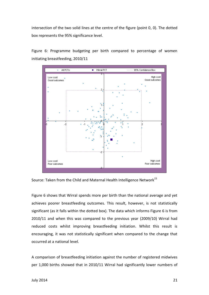intersection of the two solid lines at the centre of the figure (point 0, 0). The dotted box represents the 95% significance level.

Figure 6: Programme budgeting per birth compared to percentage of women initiating breastfeeding, 2010/11



Source: Taken from the Child and Maternal Health Intelligence Network<sup>15</sup>

Figure 6 shows that Wirral spends more per birth than the national average and yet achieves poorer breastfeeding outcomes. This result, however, is not statistically significant (as it falls within the dotted box). The data which informs Figure 6 is from 2010/11 and when this was compared to the previous year (2009/10) Wirral had reduced costs whilst improving breastfeeding initiation. Whilst this result is encouraging, it was not statistically significant when compared to the change that occurred at a national level.

A comparison of breastfeeding initiation against the number of registered midwives per 1,000 births showed that in 2010/11 Wirral had significantly lower numbers of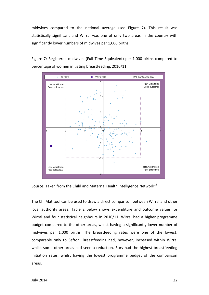midwives compared to the national average (see Figure 7). This result was statistically significant and Wirral was one of only two areas in the country with significantly lower numbers of midwives per 1,000 births.

Figure 7: Registered midwives (Full Time Equivalent) per 1,000 births compared to percentage of women initiating breastfeeding, 2010/11



Source: Taken from the Child and Maternal Health Intelligence Network<sup>15</sup>

The Chi Mat tool can be used to draw a direct comparison between Wirral and other local authority areas. Table 2 below shows expenditure and outcome values for Wirral and four statistical neighbours in 2010/11. Wirral had a higher programme budget compared to the other areas, whilst having a significantly lower number of midwives per 1,000 births. The breastfeeding rates were one of the lowest, comparable only to Sefton. Breastfeeding had, however, increased within Wirral whilst some other areas had seen a reduction. Bury had the highest breastfeeding initiation rates, whilst having the lowest programme budget of the comparison areas.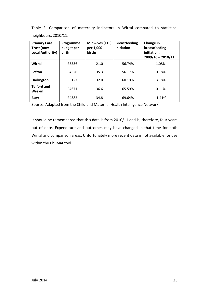|  | Table 2: Comparison of maternity indicators in Wirral compared to statistical |  |  |  |  |
|--|-------------------------------------------------------------------------------|--|--|--|--|
|  | neighbours, 2010/11.                                                          |  |  |  |  |

| <b>Primary Care</b><br>Trust (now<br><b>Local Authority)</b> | Programme<br>budget per<br>birth | <b>Midwives (FTE)</b><br>per 1,000<br><b>births</b> | <b>Breastfeeding</b><br>initiation | Change in<br>breastfeeding<br>initiation:<br>$2009/10 - 2010/11$ |
|--------------------------------------------------------------|----------------------------------|-----------------------------------------------------|------------------------------------|------------------------------------------------------------------|
| Wirral                                                       | £5536                            | 21.0                                                | 56.74%                             | 1.08%                                                            |
| <b>Sefton</b>                                                | £4526                            | 35.3                                                | 56.17%                             | 0.18%                                                            |
| <b>Darlington</b>                                            | £5127                            | 32.0                                                | 60.19%                             | 3.18%                                                            |
| <b>Telford and</b><br>Wrekin                                 | £4671                            | 36.6                                                | 65.59%                             | 0.11%                                                            |
| <b>Bury</b>                                                  | £4382                            | 34.8                                                | 69.64%                             | $-1.41%$                                                         |

Source: Adapted from the Child and Maternal Health Intelligence Network<sup>15</sup>

It should be remembered that this data is from 2010/11 and is, therefore, four years out of date. Expenditure and outcomes may have changed in that time for both Wirral and comparison areas. Unfortunately more recent data is not available for use within the Chi Mat tool.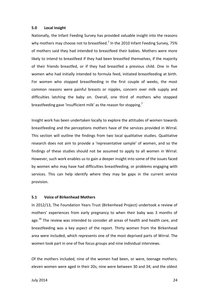#### **5.0 Local insight**

Nationally, the Infant Feeding Survey has provided valuable insight into the reasons why mothers may choose not to breastfeed.<sup>7</sup> In the 2010 Infant Feeding Survey, 75% of mothers said they had intended to breastfeed their babies. Mothers were more likely to intend to breastfeed if they had been breastfed themselves, if the majority of their friends breastfed, or if they had breastfed a previous child. One in five women who had initially intended to formula feed, initiated breastfeeding at birth. For women who stopped breastfeeding in the first couple of weeks, the most common reasons were painful breasts or nipples, concern over milk supply and difficulties latching the baby on. Overall, one third of mothers who stopped breastfeeding gave 'insufficient milk' as the reason for stopping.<sup>7</sup>

Insight work has been undertaken locally to explore the attitudes of women towards breastfeeding and the perceptions mothers have of the services provided in Wirral. This section will outline the findings from two local qualitative studies. Qualitative research does not aim to provide a 'representative sample' of women, and so the findings of these studies should not be assumed to apply to all women in Wirral. However, such work enables us to gain a deeper insight into some of the issues faced by women who may have had difficulties breastfeeding, or problems engaging with services. This can help identify where they may be gaps in the current service provision.

# **5.1 Voice of Birkenhead Mothers**

In 2012/13, The Foundation Years Trust (Birkenhead Project) undertook a review of mothers' experiences from early pregnancy to when their baby was 3 months of age.<sup>16</sup> The review was intended to consider all areas of health and health care, and breastfeeding was a key aspect of the report. Thirty women from the Birkenhead area were included, which represents one of the most deprived parts of Wirral. The women took part in one of five focus groups and nine individual interviews.

Of the mothers included, nine of the women had been, or were, teenage mothers; eleven women were aged in their 20s; nine were between 30 and 34; and the oldest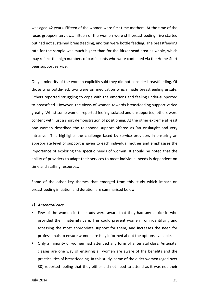was aged 42 years. Fifteen of the women were first time mothers. At the time of the focus groups/interviews, fifteen of the women were still breastfeeding, five started but had not sustained breastfeeding, and ten were bottle feeding. The breastfeeding rate for the sample was much higher than for the Birkenhead area as whole, which may reflect the high numbers of participants who were contacted via the Home-Start peer support service.

Only a minority of the women explicitly said they did not consider breastfeeding. Of those who bottle-fed, two were on medication which made breastfeeding unsafe. Others reported struggling to cope with the emotions and feeling under-supported to breastfeed. However, the views of women towards breastfeeding support varied greatly. Whilst some women reported feeling isolated and unsupported, others were content with just a short demonstration of positioning. At the other extreme at least one women described the telephone support offered as 'an onslaught and very intrusive'. This highlights the challenge faced by service providers in ensuring an appropriate level of support is given to each individual mother and emphasises the importance of exploring the specific needs of women. It should be noted that the ability of providers to adapt their services to meet individual needs is dependent on time and staffing resources.

Some of the other key themes that emerged from this study which impact on breastfeeding initiation and duration are summarised below:

#### *1) Antenatal care*

- **Few of the women in this study were aware that they had any choice in who** provided their maternity care. This could prevent women from identifying and accessing the most appropriate support for them, and increases the need for professionals to ensure women are fully informed about the options available.
- Only a minority of women had attended any form of antenatal class. Antenatal classes are one way of ensuring all women are aware of the benefits and the practicalities of breastfeeding. In this study, some of the older women (aged over 30) reported feeling that they either did not need to attend as it was not their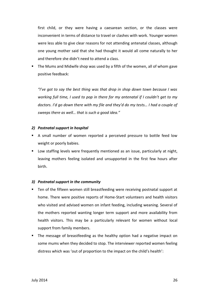first child, or they were having a caesarean section, or the classes were inconvenient in terms of distance to travel or clashes with work. Younger women were less able to give clear reasons for not attending antenatal classes, although one young mother said that she had thought it would all come naturally to her and therefore she didn't need to attend a class.

**The Mums and Midwife shop was used by a fifth of the women, all of whom gave** positive feedback:

*"I've got to say the best thing was that drop in shop down town because I was working full time, I used to pop in there for my antenatal if I couldn't get to my doctors. I'd go down there with my file and they'd do my tests… I had a couple of sweeps there as well… that is such a good idea."*

# *2) Postnatal support in hospital*

- A small number of women reported a perceived pressure to bottle feed low weight or poorly babies.
- **Low staffing levels were frequently mentioned as an issue, particularly at night,** leaving mothers feeling isolated and unsupported in the first few hours after birth.

# *3) Postnatal support in the community*

- Ten of the fifteen women still breastfeeding were receiving postnatal support at home. There were positive reports of Home-Start volunteers and health visitors who visited and advised women on infant feeding, including weaning. Several of the mothers reported wanting longer term support and more availability from health visitors. This may be a particularly relevant for women without local support from family members.
- The message of breastfeeding as the healthy option had a negative impact on some mums when they decided to stop. The interviewer reported women feeling distress which was 'out of proportion to the impact on the child's health':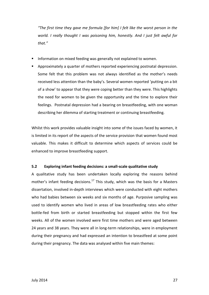*"The first time they gave me formula [for him] I felt like the worst person in the world. I really thought I was poisoning him, honestly. And I just felt awful for that."*

- Information on mixed feeding was generally not explained to women.
- **Approximately a quarter of mothers reported experiencing postnatal depression.** Some felt that this problem was not always identified as the mother's needs received less attention than the baby's. Several women reported 'putting on a bit of a show' to appear that they were coping better than they were. This highlights the need for women to be given the opportunity and the time to explore their feelings. Postnatal depression had a bearing on breastfeeding, with one woman describing her dilemma of starting treatment or continuing breastfeeding.

Whilst this work provides valuable insight into some of the issues faced by women, it is limited in its report of the aspects of the service provision that women found most valuable. This makes it difficult to determine which aspects of services could be enhanced to improve breastfeeding support.

# **5.2 Exploring infant feeding decisions: a small-scale qualitative study**

A qualitative study has been undertaken locally exploring the reasons behind mother's infant feeding decisions.<sup>17</sup> This study, which was the basis for a Masters dissertation, involved in-depth interviews which were conducted with eight mothers who had babies between six weeks and six months of age. Purposive sampling was used to identify women who lived in areas of low breastfeeding rates who either bottle-fed from birth or started breastfeeding but stopped within the first few weeks. All of the women involved were first time mothers and were aged between 24 years and 38 years. They were all in long-term relationships, were in employment during their pregnancy and had expressed an intention to breastfeed at some point during their pregnancy. The data was analysed within five main themes: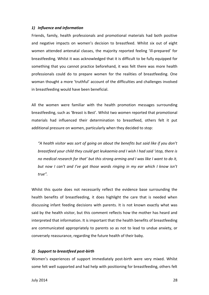#### *1) Influence and information*

Friends, family, health professionals and promotional materials had both positive and negative impacts on women's decision to breastfeed. Whilst six out of eight women attended antenatal classes, the majority reported feeling 'ill-prepared' for breastfeeding. Whilst it was acknowledged that it is difficult to be fully equipped for something that you cannot practice beforehand, it was felt there was more health professionals could do to prepare women for the realities of breastfeeding. One woman thought a more 'truthful' account of the difficulties and challenges involved in breastfeeding would have been beneficial.

All the women were familiar with the health promotion messages surrounding breastfeeding, such as 'Breast is Best'. Whilst two women reported that promotional materials had influenced their determination to breastfeed, others felt it put additional pressure on women, particularly when they decided to stop:

*"A health visitor was sort of going on about the benefits but said like if you don't breastfeed your child they could get leukaemia and I wish I had said 'stop, there is no medical research for that' but this strong arming and I was like I want to do it, but now I can't and I've got those words ringing in my ear which I know isn't true".*

Whilst this quote does not necessarily reflect the evidence base surrounding the health benefits of breastfeeding, it does highlight the care that is needed when discussing infant feeding decisions with parents. It is not known exactly what was said by the health visitor, but this comment reflects how the mother has heard and interpreted that information. It is important that the health benefits of breastfeeding are communicated appropriately to parents so as not to lead to undue anxiety, or conversely reassurance, regarding the future health of their baby.

#### *2) Support to breastfeed post-birth*

Women's experiences of support immediately post-birth were very mixed. Whilst some felt well supported and had help with positioning for breastfeeding, others felt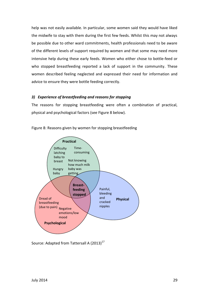help was not easily available. In particular, some women said they would have liked the midwife to stay with them during the first few feeds. Whilst this may not always be possible due to other ward commitments, health professionals need to be aware of the different levels of support required by women and that some may need more intensive help during these early feeds. Women who either chose to bottle-feed or who stopped breastfeeding reported a lack of support in the community. These women described feeling neglected and expressed their need for information and advice to ensure they were bottle feeding correctly.

# *3) Experience of breastfeeding and reasons for stopping*

The reasons for stopping breastfeeding were often a combination of practical, physical and psychological factors (see Figure 8 below).



Figure 8: Reasons given by women for stopping breastfeeding

Source: Adapted from Tattersall A (2013)<sup>17</sup>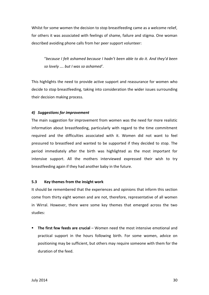Whilst for some women the decision to stop breastfeeding came as a welcome relief, for others it was associated with feelings of shame, failure and stigma. One woman described avoiding phone calls from her peer support volunteer:

"*because I felt ashamed because I hadn't been able to do it. And they'd been so lovely …. but I was so ashamed'*.

This highlights the need to provide active support and reassurance for women who decide to stop breastfeeding, taking into consideration the wider issues surrounding their decision making process.

## *4) Suggestions for improvement*

The main suggestion for improvement from women was the need for more realistic information about breastfeeding, particularly with regard to the time commitment required and the difficulties associated with it. Women did not want to feel pressured to breastfeed and wanted to be supported if they decided to stop. The period immediately after the birth was highlighted as the most important for intensive support. All the mothers interviewed expressed their wish to try breastfeeding again if they had another baby in the future.

### **5.3 Key themes from the insight work**

It should be remembered that the experiences and opinions that inform this section come from thirty eight women and are not, therefore, representative of all women in Wirral. However, there were some key themes that emerged across the two studies:

 **The first few feeds are crucial** – Women need the most intensive emotional and practical support in the hours following birth. For some women, advice on positioning may be sufficient, but others may require someone with them for the duration of the feed.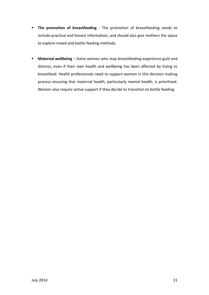- **The promotion of breastfeeding** The promotion of breastfeeding needs to include practical and honest information, and should also give mothers the space to explore mixed and bottle feeding methods.
- **Maternal wellbeing** Some women who stop breastfeeding experience guilt and distress, even if their own health and wellbeing has been affected by trying to breastfeed. Health professionals need to support women in this decision making process ensuring that maternal health, particularly mental health, is prioritised. Women also require active support if they decide to transition to bottle feeding.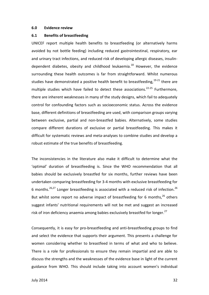#### **6.0 Evidence review**

#### **6.1 Benefits of breastfeeding**

UNICEF report multiple health benefits to breastfeeding (or alternatively harms avoided by not bottle feeding) including reduced gastrointestinal, respiratory, ear and urinary tract infections, and reduced risk of developing allergic diseases, insulindependent diabetes, obesity and childhood leukaemia.<sup>18</sup> However, the evidence surrounding these health outcomes is far from straightforward. Whilst numerous studies have demonstrated a positive health benefit to breastfeeding,  $19-21$  there are multiple studies which have failed to detect these associations.<sup>22-25</sup> Furthermore, there are inherent weaknesses in many of the study designs, which fail to adequately control for confounding factors such as socioeconomic status. Across the evidence base, different definitions of breastfeeding are used, with comparison groups varying between exclusive, partial and non-breastfed babies. Alternatively, some studies compare different durations of exclusive or partial breastfeeding. This makes it difficult for systematic reviews and meta-analyses to combine studies and develop a robust estimate of the true benefits of breastfeeding.

The inconsistencies in the literature also make it difficult to determine what the 'optimal' duration of breastfeeding is. Since the WHO recommendation that all babies should be exclusively breastfed for six months, further reviews have been undertaken comparing breastfeeding for 3-4 months with exclusive breastfeeding for 6 months.<sup>26,27</sup> Longer breastfeeding is associated with a reduced risk of infection.<sup>26</sup> But whilst some report no adverse impact of breastfeeding for 6 months,<sup>26</sup> others suggest infants' nutritional requirements will not be met and suggest an increased risk of iron deficiency anaemia among babies exclusively breastfed for longer.<sup>27</sup>

Consequently, it is easy for pro-breastfeeding and anti-breastfeeding groups to find and select the evidence that supports their argument. This presents a challenge for women considering whether to breastfeed in terms of what and who to believe. There is a role for professionals to ensure they remain impartial and are able to discuss the strengths and the weaknesses of the evidence base in light of the current guidance from WHO. This should include taking into account women's individual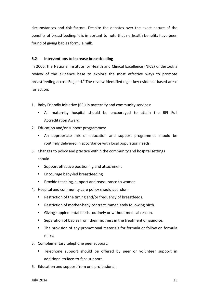circumstances and risk factors. Despite the debates over the exact nature of the benefits of breastfeeding, it is important to note that no health benefits have been found of giving babies formula milk.

# **6.2 Interventions to increase breastfeeding**

In 2006, the National Institute for Health and Clinical Excellence (NICE) undertook a review of the evidence base to explore the most effective ways to promote breastfeeding across England.<sup>4</sup> The review identified eight key evidence-based areas for action:

- 1. Baby Friendly Initiative (BFI) in maternity and community services:
	- All maternity hospital should be encouraged to attain the BFI Full Accreditation Award.
- 2. Education and/or support programmes:
	- An appropriate mix of education and support programmes should be routinely delivered in accordance with local population needs.
- 3. Changes to policy and practice within the community and hospital settings should:
	- Support effective positioning and attachment
	- Encourage baby-led breastfeeding
	- Provide teaching, support and reassurance to women
- 4. Hospital and community care policy should abandon:
	- Restriction of the timing and/or frequency of breastfeeds.
	- Restriction of mother-baby contract immediately following birth.
	- Giving supplemental feeds routinely or without medical reason.
	- Separation of babies from their mothers in the treatment of jaundice.
	- **The provision of any promotional materials for formula or follow on formula** milks.
- 5. Complementary telephone peer support:
	- Telephone support should be offered by peer or volunteer support in additional to face-to-face support.
- 6. Education and support from one professional: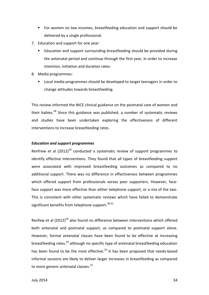- For women on low incomes, breastfeeding education and support should be delivered by a single professional.
- 7. Education and support for one year:
	- Education and support surrounding breastfeeding should be provided during the antenatal period and continue through the first year, in order to increase intention, initiation and duration rates.
- 8. Media programmes:
	- Local media programmes should be developed to target teenagers in order to change attitudes towards breastfeeding.

This review informed the NICE clinical guidance on the postnatal care of women and their babies. $^{28}$  Since this guidance was published, a number of systematic reviews and studies have been undertaken exploring the effectiveness of different interventions to increase breastfeeding rates.

# *Education and support programmes*

Renfrew et al  $(2012)^{29}$  conducted a systematic review of support programmes to identify effective interventions. They found that all types of breastfeeding support were associated with improved breastfeeding outcomes as compared to no additional support. There was no difference in effectiveness between programmes which offered support from professionals verses peer supporters. However, faceface support was more effective than either telephone support, or a mix of the two. This is consistent with other systematic reviews which have failed to demonstrate significant benefits from telephone support.<sup>30,31</sup>

Renfew et al  $(2012)^{29}$  also found no difference between interventions which offered both antenatal and postnatal support, as compared to postnatal support alone. However, formal antenatal classes have been found to be effective at increasing breastfeeding rates,<sup>32</sup> although no specific type of antenatal breastfeeding education has been found to be the most effective.<sup>33</sup> It has been proposed that needs-based informal sessions are likely to deliver larger increases in breastfeeding as compared to more generic antenatal classes.<sup>32</sup>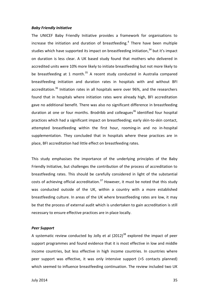#### *Baby Friendly Initiative*

The UNICEF Baby Friendly Initiative provides a framework for organisations to increase the initiation and duration of breastfeeding.<sup>4</sup> There have been multiple studies which have supported its impact on breastfeeding initiation,<sup>34</sup> but it's impact on duration is less clear. A UK based study found that mothers who delivered in accredited units were 10% more likely to initiate breastfeeding but not more likely to be breastfeeding at 1 month. $35$  A recent study conducted in Australia compared breastfeeding initiation and duration rates in hospitals with and without BFI accreditation.<sup>36</sup> Initiation rates in all hospitals were over 96%, and the researchers found that in hospitals where initiation rates were already high, BFI accreditation gave no additional benefit. There was also no significant difference in breastfeeding duration at one or four months. Brodribb and colleagues<sup>36</sup> identified four hospital practices which had a significant impact on breastfeeding; early skin-to-skin contact, attempted breastfeeding within the first hour, rooming-in and no in-hospital supplementation. They concluded that in hospitals where these practices are in place, BFI accreditation had little effect on breastfeeding rates.

This study emphasises the importance of the underlying principles of the Baby Friendly Initiative, but challenges the contribution of the process of accreditation to breastfeeding rates. This should be carefully considered in light of the substantial costs of achieving official accreditation.<sup>37</sup> However, it must be noted that this study was conducted outside of the UK, within a country with a more established breastfeeding culture. In areas of the UK where breastfeeding rates are low, it may be that the process of external audit which is undertaken to gain accreditation is still necessary to ensure effective practices are in place locally.

## *Peer Support*

A systematic review conducted by Jolly et al  $(2012)^{38}$  explored the impact of peer support programmes and found evidence that it is most effective in low and middle income countries, but less effective in high income countries. In countries where peer support was effective, it was only intensive support (>5 contacts planned) which seemed to influence breastfeeding continuation. The review included two UK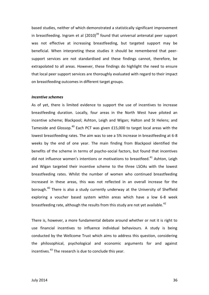based studies, neither of which demonstrated a statistically significant improvement in breastfeeding. Ingram et al  $(2010)^{39}$  found that universal antenatal peer support was not effective at increasing breastfeeding, but targeted support may be beneficial. When interpreting these studies it should be remembered that peersupport services are not standardised and these findings cannot, therefore, be extrapolated to all areas. However, these findings do highlight the need to ensure that local peer support services are thoroughly evaluated with regard to their impact on breastfeeding outcomes in different target groups.

#### *Incentive schemes*

As of yet, there is limited evidence to support the use of incentives to increase breastfeeding duration. Locally, four areas in the North West have piloted an incentive scheme; Blackpool; Ashton, Leigh and Wigan; Halton and St Helens; and Tameside and Glossop.<sup>40</sup> Each PCT was given £15,000 to target local areas with the lowest breastfeeding rates. The aim was to see a 5% increase in breastfeeding at 6-8 weeks by the end of one year. The main finding from Blackpool identified the benefits of the scheme in terms of psycho-social factors, but found that incentives did not influence women's intentions or motivations to breastfeed.<sup>41</sup> Ashton, Leigh and Wigan targeted their incentive scheme to the three LSOAs with the lowest breastfeeding rates. Whilst the number of women who continued breastfeeding increased in these areas, this was not reflected in an overall increase for the borough.<sup>40</sup> There is also a study currently underway at the University of Sheffield exploring a voucher based system within areas which have a low 6-8 week breastfeeding rate, although the results from this study are not yet available.<sup>42</sup>

There is, however, a more fundamental debate around whether or not it is right to use financial incentives to influence individual behaviours. A study is being conducted by the Wellcome Trust which aims to address this question, considering the philosophical, psychological and economic arguments for and against incentives.<sup>43</sup> The research is due to conclude this year.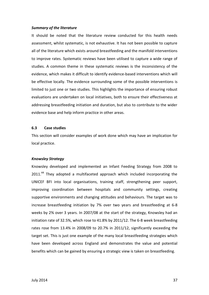#### *Summary of the literature*

It should be noted that the literature review conducted for this health needs assessment, whilst systematic, is not exhaustive. It has not been possible to capture all of the literature which exists around breastfeeding and the manifold interventions to improve rates. Systematic reviews have been utilised to capture a wide range of studies. A common theme in these systematic reviews is the inconsistency of the evidence, which makes it difficult to identify evidence-based interventions which will be effective locally. The evidence surrounding some of the possible interventions is limited to just one or two studies. This highlights the importance of ensuring robust evaluations are undertaken on local initiatives, both to ensure their effectiveness at addressing breastfeeding initiation and duration, but also to contribute to the wider evidence base and help inform practice in other areas.

#### **6.3 Case studies**

This section will consider examples of work done which may have an implication for local practice.

#### *Knowsley Strategy*

Knowsley developed and implemented an Infant Feeding Strategy from 2008 to 2011.<sup>44</sup> They adopted a multifaceted approach which included incorporating the UNICEF BFI into local organisations, training staff, strengthening peer support, improving coordination between hospitals and community settings, creating supportive environments and changing attitudes and behaviours. The target was to increase breastfeeding initiation by 7% over two years and breastfeeding at 6-8 weeks by 2% over 3 years. In 2007/08 at the start of the strategy, Knowsley had an initiation rate of 32.5%, which rose to 41.8% by 2011/12. The 6-8 week breastfeeding rates rose from 13.4% in 2008/09 to 20.7% in 2011/12, significantly exceeding the target set. This is just one example of the many local breastfeeding strategies which have been developed across England and demonstrates the value and potential benefits which can be gained by ensuring a strategic view is taken on breastfeeding.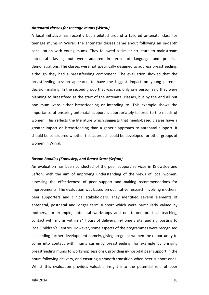#### *Antenatal classes for teenage mums (Wirral)*

A local initiative has recently been piloted around a tailored antenatal class for teenage mums in Wirral. The antenatal classes came about following an in-depth consultation with young mums. They followed a similar structure to mainstream antenatal classes, but were adapted in terms of language and practical demonstrations. The classes were not specifically designed to address breastfeeding, although they had a breastfeeding component. The evaluation showed that the breastfeeding session appeared to have the biggest impact on young parents' decision making. In the second group that was run, only one person said they were planning to breastfeed at the start of the antenatal classes, but by the end all but one mum were either breastfeeding or intending to. This example shows the importance of ensuring antenatal support is appropriately tailored to the needs of women. This reflects the literature which suggests that needs-based classes have a greater impact on breastfeeding than a generic approach to antenatal support. It should be considered whether this approach could be developed for other groups of women in Wirral.

#### *Bosom Buddies (Knowsley) and Breast Start (Sefton)*

An evaluation has been conducted of the peer support services in Knowsley and Sefton, with the aim of improving understanding of the views of local women, assessing the effectiveness of peer support and making recommendations for improvements. The evaluation was based on qualitative research involving mothers, peer supporters and clinical stakeholders. They identified several elements of antenatal, postnatal and longer term support which were particularly valued by mothers, for example, antenatal workshops and one-to-one practical teaching, contact with mums within 24 hours of delivery, in-home visits, and signposting to local Children's Centres. However, some aspects of the programmes were recognised as needing further development namely, giving pregnant women the opportunity to come into contact with mums currently breastfeeding (for example by bringing breastfeeding mums to workshop sessions), providing in-hospital peer support in the hours following delivery, and ensuring a smooth transition when peer support ends. Whilst this evaluation provides valuable insight into the potential role of peer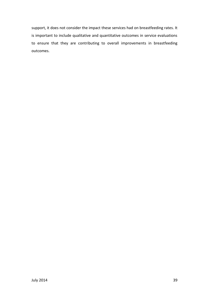support, it does not consider the impact these services had on breastfeeding rates. It is important to include qualitative and quantitative outcomes in service evaluations to ensure that they are contributing to overall improvements in breastfeeding outcomes.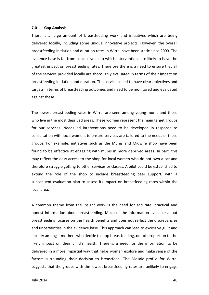#### **7.0 Gap Analysis**

There is a large amount of breastfeeding work and initiatives which are being delivered locally, including some unique innovative projects. However, the overall breastfeeding initiation and duration rates in Wirral have been static since 2009. The evidence base is far from conclusive as to which interventions are likely to have the greatest impact on breastfeeding rates. Therefore there is a need to ensure that all of the services provided locally are thoroughly evaluated in terms of their impact on breastfeeding initiation and duration. The services need to have clear objectives and targets in terms of breastfeeding outcomes and need to be monitored and evaluated against these.

The lowest breastfeeding rates in Wirral are seen among young mums and those who live in the most deprived areas. These women represent the main target groups for our services. Needs-led interventions need to be developed in response to consultation with local women, to ensure services are tailored to the needs of these groups. For example, initiatives such as the Mums and Midwife shop have been found to be effective at engaging with mums in more deprived areas. In part, this may reflect the easy access to the shop for local women who do not own a car and therefore struggle getting to other services or classes. A pilot could be established to extend the role of the shop to include breastfeeding peer support, with a subsequent evaluation plan to assess its impact on breastfeeding rates within the local area.

A common theme from the insight work is the need for accurate, practical and honest information about breastfeeding. Much of the information available about breastfeeding focuses on the health benefits and does not reflect the discrepancies and uncertainties in the evidence base. This approach can lead to excessive guilt and anxiety amongst mothers who decide to stop breastfeeding, out of proportion to the likely impact on their child's health. There is a need for the information to be delivered in a more impartial way that helps women explore and make sense of the factors surrounding their decision to breastfeed. The Mosaic profile for Wirral suggests that the groups with the lowest breastfeeding rates are unlikely to engage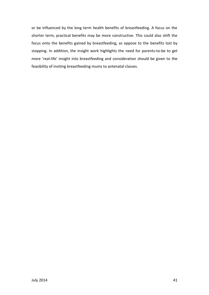or be influenced by the long term health benefits of breastfeeding. A focus on the shorter term, practical benefits may be more constructive. This could also shift the focus onto the benefits gained by breastfeeding, as oppose to the benefits lost by stopping. In addition, the insight work highlights the need for parents-to-be to get more 'real-life' insight into breastfeeding and consideration should be given to the feasibility of inviting breastfeeding mums to antenatal classes.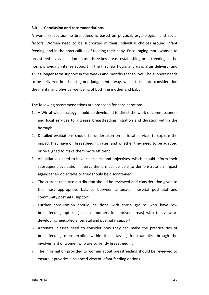#### **8.0 Conclusion and recommendations**

A women's decision to breastfeed is based on physical, psychological and social factors. Women need to be supported in their individual choices around infant feeding, and in the practicalities of feeding their baby. Encouraging more women to breastfeed involves action across three key areas; establishing breastfeeding as the norm, providing intense support in the first few hours and days after delivery, and giving longer term support in the weeks and months that follow. The support needs to be delivered in a holistic, non-judgemental way, which takes into consideration the mental and physical wellbeing of both the mother and baby.

The following recommendations are proposed for consideration:

- 1. A Wirral-wide strategy should be developed to direct the work of commissioners and local services to increase breastfeeding initiation and duration within the borough.
- 2. Detailed evaluations should be undertaken on all local services to explore the impact they have on breastfeeding rates, and whether they need to be adapted or re-aligned to make them more efficient.
- 3. All initiatives need to have clear aims and objectives, which should inform their subsequent evaluation. Interventions must be able to demonstrate an impact against their objectives or they should be discontinued.
- 4. The current resource distribution should be reviewed and consideration given to the most appropriate balance between antenatal, hospital postnatal and community postnatal support.
- 5. Further consultation should be done with those groups who have low breastfeeding uptake (such as mothers in deprived areas) with the view to developing needs-led antenatal and postnatal support.
- 6. Antenatal classes need to consider how they can make the practicalities of breastfeeding more explicit within their classes, for example, through the involvement of women who are currently breastfeeding.
- 7. The information provided to women about breastfeeding should be reviewed to ensure it provides a balanced view of infant feeding options.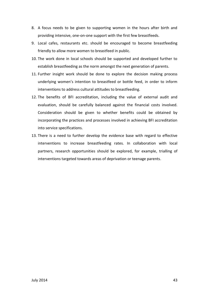- 8. A focus needs to be given to supporting women in the hours after birth and providing intensive, one-on-one support with the first few breastfeeds.
- 9. Local cafes, restaurants etc. should be encouraged to become breastfeeding friendly to allow more women to breastfeed in public.
- 10. The work done in local schools should be supported and developed further to establish breastfeeding as the norm amongst the next generation of parents.
- 11. Further insight work should be done to explore the decision making process underlying women's intention to breastfeed or bottle feed, in order to inform interventions to address cultural attitudes to breastfeeding.
- 12. The benefits of BFI accreditation, including the value of external audit and evaluation, should be carefully balanced against the financial costs involved. Consideration should be given to whether benefits could be obtained by incorporating the practices and processes involved in achieving BFI accreditation into service specifications.
- 13. There is a need to further develop the evidence base with regard to effective interventions to increase breastfeeding rates. In collaboration with local partners, research opportunities should be explored, for example, trialling of interventions targeted towards areas of deprivation or teenage parents.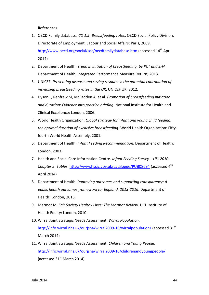# **References**

- 1. OECD Family database. *CO 1.5: Breastfeeding rates*. OECD Social Policy Division, Directorate of Employment, Labour and Social Affairs: Paris, 2009. <http://www.oecd.org/social/soc/oecdfamilydatabase.htm> (accessed 14<sup>th</sup> April 2014)
- 2. Department of Health. *Trend in initiation of breastfeeding, by PCT and SHA*. Department of Health, Integrated Performance Measure Return; 2013.
- 3. UNICEF. *Preventing disease and saving resources: the potential contribution of increasing breastfeeding rates in the UK*. UNICEF UK, 2012.
- 4. Dyson L, Renfrew M, McFadden A, et al. *Promotion of breastfeeding initiation and duration: Evidence into practice briefing*. National Institute for Health and Clinical Excellence: London, 2006.
- 5. World Health Organization. *Global strategy for infant and young child feeding: the optimal duration of exclusive breastfeeding*. World Health Organization: Fiftyfourth World Health Assembly, 2001.
- 6. Department of Health. *Infant Feeding Recommendation*. Department of Health: London, 2003.
- 7. Health and Social Care Information Centre. *Infant Feeding Survey – UK, 2010*: *Chapter 2, Tables*.<http://www.hscic.gov.uk/catalogue/PUB08694> (accessed 4th April 2014)
- 8. Department of Health. *Improving outcomes and supporting transparency: A public health outcomes framework for England, 2013-2016*. Department of Health: London, 2013.
- 9. Marmot M. *Fair Society Healthy Lives: The Marmot Review*. UCL Institute of Health Equity: London, 2010.
- 10. Wirral Joint Strategic Needs Assessment. *Wirral Population*. <http://info.wirral.nhs.uk/ourjsna/wirral2009-10/wirralpopulation/> (accessed 31<sup>st</sup> March 2014)
- 11. Wirral Joint Strategic Needs Assessment. *Children and Young People*. <http://info.wirral.nhs.uk/ourjsna/wirral2009-10/childrenandyoungpeople/> (accessed  $31<sup>st</sup>$  March 2014)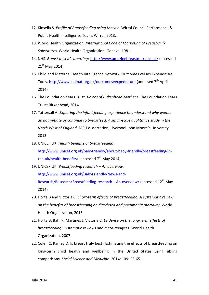- 12. Kinsella S. *Profile of Breastfeeding using Mosaic*. Wirral Council Performance & Public Health Intelligence Team: Wirral, 2013.
- 13. World Health Organization. *International Code of Marketing of Breast-milk Substitutes*. World Health Organization: Geneva, 1981.
- 14. NHS. *Breast milk it's amazing!* <http://www.amazingbreastmilk.nhs.uk/> (accessed  $21^{st}$  May 2014)
- 15. Child and Maternal Health Intelligence Network. Outcomes verses Expenditure Tools.<http://www.chimat.org.uk/outcomesvexpenditure> (accessed 7<sup>th</sup> April 2014)
- 16. The Foundation Years Trust. *Voices of Birkenhead Mothers*. The Foundation Years Trust; Birkenhead, 2014.
- 17. Tattersall A. *Exploring the infant feeding experience to understand why women do not initiate or continue to breastfeed: A small-scale qualitative study in the North West of England.* MPH dissertation; Liverpool John Moore's University, 2013.
- 18. UNICEF UK. *Health benefits of breastfeeding*. [http://www.unicef.org.uk/babyfriendly/about-baby-friendly/breastfeeding-in](http://www.unicef.org.uk/babyfriendly/about-baby-friendly/breastfeeding-in-the-uk/health-benefits/)[the-uk/health-benefits/](http://www.unicef.org.uk/babyfriendly/about-baby-friendly/breastfeeding-in-the-uk/health-benefits/) (accessed  $7<sup>th</sup>$  May 2014)
- 19. UNICEF UK. *Breastfeeding research – An overview*. [http://www.unicef.org.uk/BabyFriendly/News-and-](http://www.unicef.org.uk/BabyFriendly/News-and-Research/Research/Breastfeeding-research---An-overview/)[Research/Research/Breastfeeding-research---An-overview/](http://www.unicef.org.uk/BabyFriendly/News-and-Research/Research/Breastfeeding-research---An-overview/) (accessed 12<sup>th</sup> May 2014)
- 20. Horta B and Victoria C. *Short-term effects of breastfeeding: A systematic review on the benefits of breastfeeding on diarrhoea and pneumonia mortality*. World Health Organization, 2013.
- 21. Horta B, Bahl R, Martines J, Victoria C. *Evidence on the long-term effects of breastfeeding: Systematic reviews and meta-analyses*. World Health Organization, 2007.
- 22. Colen C, Ramey D. Is breast truly best? Estimating the effects of breastfeeding on long-term child health and wellbeing in the United States using sibling comparisons. *Social Science and Medicine*. 2014; 109: 55-65.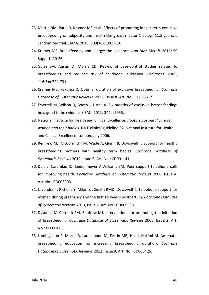- 23. Martin RM, Patel R, Kramer MS et al. Effects of promoting longer-term exclusive breastfeeding on adiposity and insulin-like growth factor-1 at age 11.5 years: a randomized trial. *JAMA*. 2013; 309(10): 1005-13.
- 24. Kramer MS. Breastfeeding and allergy: the evidence. *Ann Nutr Metab*. 2011; 59 Suppl 1: 20-26.
- 25. Guise JM, Austin D, Morris CD. Review of case-control studies related to breastfeeding and reduced risk of childhood leukaemia. *Pediatrics*. 2005; 116(5):e724-731.
- 26. Kramer MS, Kakuma R. Optimal duration of exclusive breastfeeding. *Cochrane Database of Systematic Reviews.* 2012, Issue 8. Art. No.: CD003517.
- 27. Fewtrell M, Wilson D, Booth I, Lucas A. Six months of exclusive breast feeding: how good is the evidence? BMJ. 2011; 342: c5955.
- 28. National Institute for Health and Clinical Excellence. *Routine postnatal care of women and their babies*. NICE clinical guideline 37. National Institute for Health and Clinical Excellence: London, July 2006.
- 29. Renfrew MJ, McCormick FM, Wade A, Quinn B, Dowswell T. Support for healthy breastfeeding mothers with healthy term babies. *Cochrane Database of Systematic Reviews* 2012, Issue 5. Art. No.: CD001141.
- 30. Dale J, Caramlau IO, Lindenmeyer A,Williams SM. Peer support telephone calls for improving health. *Cochrane Database of Systematic Reviews* 2008, Issue 4. Art. No.: CD006903.
- 31. Lavender T, Richens Y, Milan SJ, Smyth RMD, Dowswell T. Telephone support for women during pregnancy and the first six weeks postpartum. *Cochrane Database of Systematic Reviews* 2013, Issue 7. Art. No.: CD009338.
- 32. Dyson L, McCormick FM, Renfrew MJ. Interventions for promoting the initiation of breastfeeding. *Cochrane Database of Systematic Reviews* 2005, Issue 2. Art. No.: CD001688.
- 33. Lumbiganon P, Martis R, Laopaiboon M, Festin MR, Ho JJ, Hakimi M. Antenatal breastfeeding education for increasing breastfeeding duration. *Cochrane Database of Systematic Reviews* 2012, Issue 9. Art. No.: CD006425.